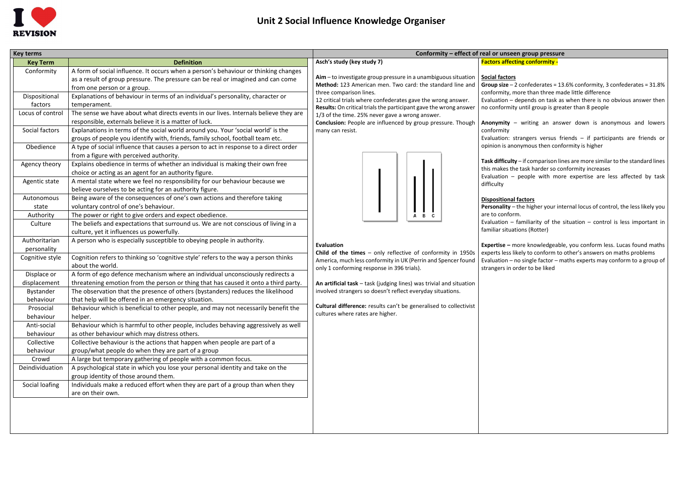

**Group size** – 2 confederates = 13.6% conformity, 3 confederates = 31.8% more than three made little difference

 $\cdot$  depends on task as when there is no obvious answer then ty until group is greater than 8 people

| <b>Key terms</b> |                                                                                      | Conformity - effect of real or unseen group pressure                                    |                                                                    |  |
|------------------|--------------------------------------------------------------------------------------|-----------------------------------------------------------------------------------------|--------------------------------------------------------------------|--|
| <b>Key Term</b>  | <b>Definition</b>                                                                    | Asch's study (key study 7)                                                              | <b>Factors affecting conformity -</b>                              |  |
| Conformity       | A form of social influence. It occurs when a person's behaviour or thinking changes  |                                                                                         |                                                                    |  |
|                  | as a result of group pressure. The pressure can be real or imagined and can come     | Aim - to investigate group pressure in a unambiguous situation                          | <b>Social factors</b>                                              |  |
|                  | from one person or a group.                                                          | Method: 123 American men. Two card: the standard line and                               | Group size $-2$ confederates = 13.                                 |  |
| Dispositional    | Explanations of behaviour in terms of an individual's personality, character or      | three comparison lines.<br>12 critical trials where confederates gave the wrong answer. | conformity, more than three mad<br>Evaluation - depends on task as |  |
| factors          | temperament.                                                                         | Results: On critical trials the participant gave the wrong answer                       | no conformity until group is great                                 |  |
| Locus of control | The sense we have about what directs events in our lives. Internals believe they are | 1/3 of the time. 25% never gave a wrong answer.                                         |                                                                    |  |
|                  | responsible, externals believe it is a matter of luck.                               | Conclusion: People are influenced by group pressure. Though                             | Anonymity - writing an answ                                        |  |
| Social factors   | Explanations in terms of the social world around you. Your 'social world' is the     | many can resist.                                                                        | conformity                                                         |  |
|                  | groups of people you identify with, friends, family school, football team etc.       |                                                                                         | Evaluation: strangers versus fri                                   |  |
| Obedience        | A type of social influence that causes a person to act in response to a direct order |                                                                                         | opinion is anonymous then confo                                    |  |
|                  | from a figure with perceived authority.                                              |                                                                                         |                                                                    |  |
| Agency theory    | Explains obedience in terms of whether an individual is making their own free        |                                                                                         | Task difficulty - if comparison line                               |  |
|                  | choice or acting as an agent for an authority figure.                                |                                                                                         | this makes the task harder so cor<br>Evaluation - people with more |  |
| Agentic state    | A mental state where we feel no responsibility for our behaviour because we          |                                                                                         | difficulty                                                         |  |
|                  | believe ourselves to be acting for an authority figure.                              |                                                                                         |                                                                    |  |
| Autonomous       | Being aware of the consequences of one's own actions and therefore taking            |                                                                                         | <b>Dispositional factors</b>                                       |  |
| state            | voluntary control of one's behaviour.                                                |                                                                                         | Personality - the higher your inte                                 |  |
| Authority        | The power or right to give orders and expect obedience.                              |                                                                                         | are to conform.                                                    |  |
| Culture          | The beliefs and expectations that surround us. We are not conscious of living in a   |                                                                                         | Evaluation $-$ familiarity of the s                                |  |
|                  | culture, yet it influences us powerfully.                                            |                                                                                         | familiar situations (Rotter)                                       |  |
| Authoritarian    | A person who is especially susceptible to obeying people in authority.               | <b>Evaluation</b>                                                                       | Expertise - more knowledgeable                                     |  |
| personality      |                                                                                      | Child of the times $-$ only reflective of conformity in 1950s                           | experts less likely to conform to a                                |  |
| Cognitive style  | Cognition refers to thinking so 'cognitive style' refers to the way a person thinks  | America, much less conformity in UK (Perrin and Spencer found                           | Evaluation - no single factor - ma                                 |  |
|                  | about the world.                                                                     | only 1 conforming response in 396 trials).                                              | strangers in order to be liked                                     |  |
| Displace or      | A form of ego defence mechanism where an individual unconsciously redirects a        |                                                                                         |                                                                    |  |
| displacement     | threatening emotion from the person or thing that has caused it onto a third party.  | An artificial task - task (judging lines) was trivial and situation                     |                                                                    |  |
| Bystander        | The observation that the presence of others (bystanders) reduces the likelihood      | involved strangers so doesn't reflect everyday situations.                              |                                                                    |  |
| behaviour        | that help will be offered in an emergency situation.                                 |                                                                                         |                                                                    |  |
| Prosocial        | Behaviour which is beneficial to other people, and may not necessarily benefit the   | Cultural difference: results can't be generalised to collectivist                       |                                                                    |  |
| behaviour        | helper.                                                                              | cultures where rates are higher.                                                        |                                                                    |  |
| Anti-social      | Behaviour which is harmful to other people, includes behaving aggressively as well   |                                                                                         |                                                                    |  |
| behaviour        | as other behaviour which may distress others.                                        |                                                                                         |                                                                    |  |
| Collective       | Collective behaviour is the actions that happen when people are part of a            |                                                                                         |                                                                    |  |
| behaviour        | group/what people do when they are part of a group                                   |                                                                                         |                                                                    |  |
| Crowd            | A large but temporary gathering of people with a common focus.                       |                                                                                         |                                                                    |  |
| Deindividuation  | A psychological state in which you lose your personal identity and take on the       |                                                                                         |                                                                    |  |
|                  | group identity of those around them.                                                 |                                                                                         |                                                                    |  |
| Social loafing   | Individuals make a reduced effort when they are part of a group than when they       |                                                                                         |                                                                    |  |
|                  | are on their own.                                                                    |                                                                                         |                                                                    |  |
|                  |                                                                                      |                                                                                         |                                                                    |  |
|                  |                                                                                      |                                                                                         |                                                                    |  |
|                  |                                                                                      |                                                                                         |                                                                    |  |
|                  |                                                                                      |                                                                                         |                                                                    |  |

## **Facting conformity -**

**Expertise –** more knowledgeable, you conform less. Lucas found maths ikely to conform to other's answers on maths problems no single factor – maths experts may conform to a group of order to be liked

**Anonymity** – writing an answer down is anonymous and lowers

strangers versus friends  $-$  if participants are friends or onymous then conformity is higher

**ty** – if comparison lines are more similar to the standard lines e task harder so conformity increases

people with more expertise are less affected by task

## **Dispose**

- the higher your internal locus of control, the less likely you rm.

familiarity of the situation – control is less important in ations (Rotter)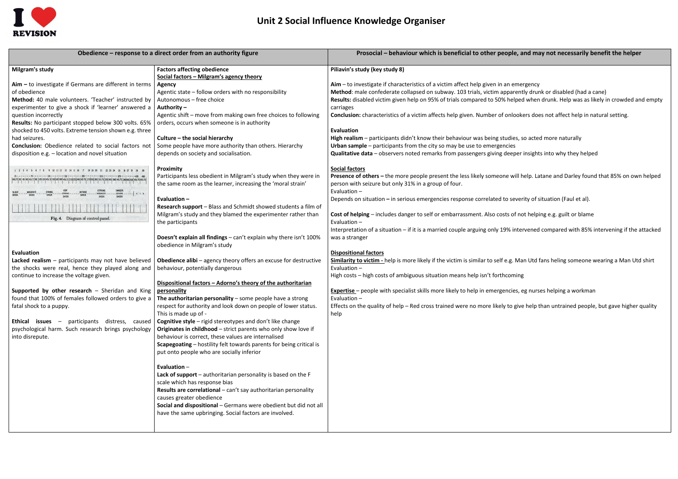

| Obedience – response to a direct order from an authority figure                                                                                                                                                                                                                                                                                                                                                                                                     | Prosocial - behaviour which is beneficial to other people, a                                                                                                                                                                                                                                                                                                                                                                                                                                                                                                                                                                                                                                                                                                                      |                                                                                                                                                                                                                                                                                                                                                                                                                                                                                                                                                                                                                      |
|---------------------------------------------------------------------------------------------------------------------------------------------------------------------------------------------------------------------------------------------------------------------------------------------------------------------------------------------------------------------------------------------------------------------------------------------------------------------|-----------------------------------------------------------------------------------------------------------------------------------------------------------------------------------------------------------------------------------------------------------------------------------------------------------------------------------------------------------------------------------------------------------------------------------------------------------------------------------------------------------------------------------------------------------------------------------------------------------------------------------------------------------------------------------------------------------------------------------------------------------------------------------|----------------------------------------------------------------------------------------------------------------------------------------------------------------------------------------------------------------------------------------------------------------------------------------------------------------------------------------------------------------------------------------------------------------------------------------------------------------------------------------------------------------------------------------------------------------------------------------------------------------------|
| Milgram's study                                                                                                                                                                                                                                                                                                                                                                                                                                                     | <b>Factors affecting obedience</b><br>Social factors - Milgram's agency theory                                                                                                                                                                                                                                                                                                                                                                                                                                                                                                                                                                                                                                                                                                    | Piliavin's study (key study 8)                                                                                                                                                                                                                                                                                                                                                                                                                                                                                                                                                                                       |
| $Aim - to$ investigate if Germans are different in terms<br>of obedience<br>Method: 40 male volunteers. 'Teacher' instructed by<br>experimenter to give a shock if 'learner' answered a<br>question incorrectly<br>Results: No participant stopped below 300 volts. 65%<br>shocked to 450 volts. Extreme tension shown e.g. three<br>had seizures.<br><b>Conclusion:</b> Obedience related to social factors not<br>disposition e.g. - location and novel situation | <b>Agency</b><br>Agentic state - follow orders with no responsibility<br>Autonomous - free choice<br>Authority -<br>Agentic shift - move from making own free choices to following<br>orders, occurs when someone is in authority<br>Culture – the social hierarchy<br>Some people have more authority than others. Hierarchy<br>depends on society and socialisation.                                                                                                                                                                                                                                                                                                                                                                                                            | $A$ im – to investigate if characteristics of a victim affect help given in an eme<br>Method: male confederate collapsed on subway. 103 trials, victim apparent<br>Results: disabled victim given help on 95% of trials compared to 50% helped<br>carriages<br><b>Conclusion:</b> characteristics of a victim affects help given. Number of onlook<br><b>Evaluation</b><br>High realism - participants didn't know their behaviour was being studies, s<br>Urban sample – participants from the city so may be use to emergencies<br><b>Qualitative data</b> - observers noted remarks from passengers giving deeper |
| $-578096 - -$<br>Fig. 4. Diagram of control panel.                                                                                                                                                                                                                                                                                                                                                                                                                  | Proximity<br>Participants less obedient in Milgram's study when they were in<br>the same room as the learner, increasing the 'moral strain'<br>Evaluation-<br>Research support - Blass and Schmidt showed students a film of<br>Milgram's study and they blamed the experimenter rather than<br>the participants                                                                                                                                                                                                                                                                                                                                                                                                                                                                  | <b>Social factors</b><br>Presence of others - the more people present the less likely someone will h<br>person with seizure but only 31% in a group of four.<br>Evaluation -<br>Depends on situation - in serious emergencies response correlated to sever<br>Cost of helping - includes danger to self or embarrassment. Also costs of no<br>Evaluation -<br>Interpretation of a situation - if it is a married couple arguing only 19% inter                                                                                                                                                                       |
| <b>Evaluation</b><br>Lacked realism - participants may not have believed<br>the shocks were real, hence they played along and<br>continue to increase the voltage given.<br>Supported by other research - Sheridan and King<br>found that 100% of females followed orders to give a<br>fatal shock to a puppy.<br><b>Ethical issues</b> - participants distress, caused<br>psychological harm. Such research brings psychology<br>into disrepute.                   | Doesn't explain all findings - can't explain why there isn't 100%<br>obedience in Milgram's study<br>Obedience alibi - agency theory offers an excuse for destructive<br>behaviour, potentially dangerous<br>Dispositional factors - Adorno's theory of the authoritarian<br>personality<br>The authoritarian personality $-$ some people have a strong<br>respect for authority and look down on people of lower status.<br>This is made up of -<br>Cognitive style - rigid stereotypes and don't like change<br>Originates in childhood - strict parents who only show love if<br>behaviour is correct, these values are internalised<br><b>Scapegoating</b> – hostility felt towards parents for being critical is<br>put onto people who are socially inferior<br>Evaluation- | was a stranger<br><b>Dispositional factors</b><br>Similarity to victim - help is more likely if the victim is similar to self e.g. Ma<br>Evaluation -<br>High costs - high costs of ambiguous situation means help isn't forthcoming<br><b>Expertise</b> - people with specialist skills more likely to help in emergencies, e<br>Evaluation $-$<br>Effects on the quality of help - Red cross trained were no more likely to give<br>help                                                                                                                                                                           |
|                                                                                                                                                                                                                                                                                                                                                                                                                                                                     | Lack of support - authoritarian personality is based on the F<br>scale which has response bias<br>Results are correlational - can't say authoritarian personality<br>causes greater obedience<br>Social and dispositional - Germans were obedient but did not all<br>have the same upbringing. Social factors are involved.                                                                                                                                                                                                                                                                                                                                                                                                                                                       |                                                                                                                                                                                                                                                                                                                                                                                                                                                                                                                                                                                                                      |

## **Le, and may not necessarily benefit the helper**

emergency rently drunk or disabled (had a cane) Iped when drunk. Help was as likely in crowded and empty

lookers does not affect help in natural setting.

ies, so acted more naturally Pualitative oper insights into why they helped

**Presence of others –** the more people present the less likely someone will help. Latane and Darley found that 85% on own helped

everity of situation (Faul et al).

of not helping e.g. guilt or blame

intervened compared with 85% intervening if the attacked

**Similarity to victim -** help is more likely if the victim is similar to self e.g. Man Utd fans heling someone wearing a Man Utd shirt

ies, eg nurses helping a workman

give help than untrained people, but gave higher quality